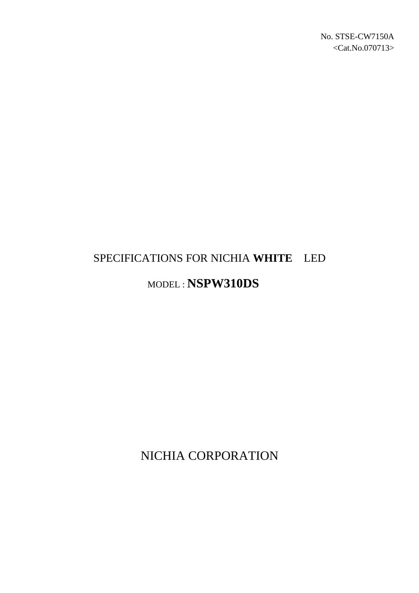# SPECIFICATIONS FOR NICHIA **WHITE** LED

## MODEL : **NSPW310DS**

NICHIA CORPORATION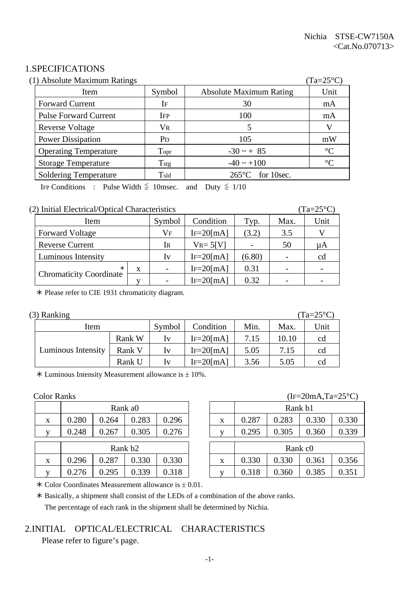#### 1.SPECIFICATIONS

| (1) Absolute Maximum Ratings |                       |                                | $(Ta=25^{\circ}C)$ |
|------------------------------|-----------------------|--------------------------------|--------------------|
| Item                         | Symbol                | <b>Absolute Maximum Rating</b> | Unit               |
| <b>Forward Current</b>       | IF                    | 30                             | mA                 |
| <b>Pulse Forward Current</b> | <b>IFP</b>            | 100                            | mA                 |
| <b>Reverse Voltage</b>       | $V_{R}$               |                                | V                  |
| <b>Power Dissipation</b>     | <b>P</b> <sub>D</sub> | 105                            | mW                 |
| <b>Operating Temperature</b> | Topr                  | $-30 \sim + 85$                | $\rm ^{\circ}C$    |
| <b>Storage Temperature</b>   | $T_{\rm stg}$         | $-40 \sim +100$                | $\rm ^{\circ}C$    |
| <b>Soldering Temperature</b> | $T_{\rm sld}$         | for 10sec.<br>$265^{\circ}$ C  |                    |

IFP Conditions : Pulse Width  $\leq$  10msec. and Duty  $\leq$  1/10

#### (2) Initial Electrical/Optical Characteristics (Ta=25°C)

| Item                           |   | Symbol                   | Condition      | Typ.   | Max. | Unit |
|--------------------------------|---|--------------------------|----------------|--------|------|------|
| <b>Forward Voltage</b>         |   | Vf                       | $IF=20$ [mA]   | (3.2)  | 3.5  |      |
| <b>Reverse Current</b>         |   | Ir                       | $V_{R} = 5[V]$ |        | 50   | μA   |
| Luminous Intensity             |   | Iv                       | $IF = 20$ [mA] | (6.80) |      | cd   |
| $\ast$                         | X | $\overline{\phantom{0}}$ | $IF=20$ [mA]   | 0.31   |      |      |
| <b>Chromaticity Coordinate</b> |   |                          | $IF = 20$ [mA] | 0.32   |      |      |

½ Please refer to CIE 1931 chromaticity diagram.

|  |  | $(3)$ Ranking |
|--|--|---------------|
|--|--|---------------|

| (3) Ranking        |        |         |                |      |       | $(Ta=25^{\circ}C)$ |
|--------------------|--------|---------|----------------|------|-------|--------------------|
| Item               |        | Symbol  | Condition      | Min. | Max.  | Unit               |
|                    | Rank W | $I_{V}$ | $IF = 20$ [mA] | 7.15 | 10.10 | cd                 |
| Luminous Intensity | Rank V | Iv      | $IF=20$ [mA]   | 5.05 | 7.15  | cd                 |
|                    | Rank U | $I_{V}$ | $IF = 20$ [mA] | 3.56 | 5.05  | cd                 |

 $*$  Luminous Intensity Measurement allowance is  $\pm$  10%.

|                           |                     |       | Rank a0 |       |   |       |       | Rank b1             |
|---------------------------|---------------------|-------|---------|-------|---|-------|-------|---------------------|
| $\boldsymbol{\mathrm{X}}$ | 0.280               | 0.264 | 0.283   | 0.296 | X | 0.287 | 0.283 | 0.3                 |
| $\mathbf{V}$              | 0.248               | 0.267 | 0.305   | 0.276 |   | 0.295 | 0.305 | 0.3                 |
|                           | Rank b <sub>2</sub> |       |         |       |   |       |       |                     |
|                           |                     |       |         |       |   |       |       | Rank c <sub>0</sub> |
| X                         | 0.296               | 0.287 | 0.330   | 0.330 | X | 0.330 | 0.330 | 0.3                 |
|                           | 0.276               | 0.295 | 0.339   | 0.318 |   | 0.318 | 0.360 | 0.3                 |

#### Color Ranks (IF=20mA,Ta=25°C)

|   | Rank a0             |       |       |       |   | Rank b1             |       |       |       |
|---|---------------------|-------|-------|-------|---|---------------------|-------|-------|-------|
| X | 0.280               | 0.264 | 0.283 | 0.296 | X | 0.287               | 0.283 | 0.330 | 0.330 |
| V | 0.248               | 0.267 | 0.305 | 0.276 |   | 0.295               | 0.305 | 0.360 | 0.339 |
|   | Rank b <sub>2</sub> |       |       |       |   | Rank c <sub>0</sub> |       |       |       |
| X | 0.296               | 0.287 | 0.330 | 0.330 | X | 0.330               | 0.330 | 0.361 | 0.356 |
| V | 0.276               | 0.295 | 0.339 | 0.318 |   | 0.318               | 0.360 | 0.385 | 0.351 |
|   |                     |       |       |       |   |                     |       |       |       |

 $\ast$  Color Coordinates Measurement allowance is  $\pm$  0.01.

 ½ Basically, a shipment shall consist of the LEDs of a combination of the above ranks. The percentage of each rank in the shipment shall be determined by Nichia.

#### 2.INITIAL OPTICAL/ELECTRICAL CHARACTERISTICS

Please refer to figure's page.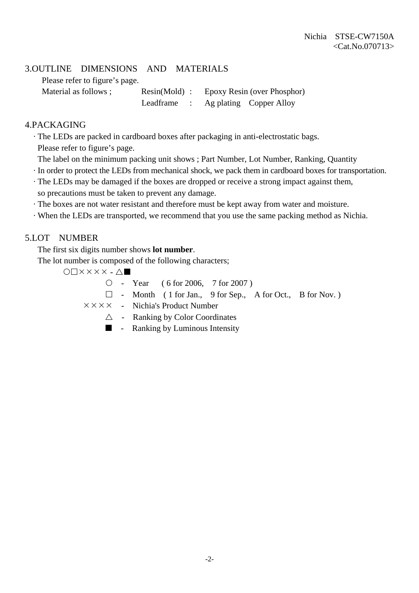#### 3.OUTLINE DIMENSIONS AND MATERIALS

Please refer to figure's page.

Material as follows ; Resin(Mold) : Epoxy Resin (over Phosphor) Leadframe : Ag plating Copper Alloy

#### 4.PACKAGING

· The LEDs are packed in cardboard boxes after packaging in anti-electrostatic bags.

Please refer to figure's page.

- The label on the minimum packing unit shows ; Part Number, Lot Number, Ranking, Quantity
- · In order to protect the LEDs from mechanical shock, we pack them in cardboard boxes for transportation.
- · The LEDs may be damaged if the boxes are dropped or receive a strong impact against them, so precautions must be taken to prevent any damage.
- · The boxes are not water resistant and therefore must be kept away from water and moisture.
- · When the LEDs are transported, we recommend that you use the same packing method as Nichia.

#### 5.LOT NUMBER

The first six digits number shows **lot number**.

The lot number is composed of the following characters;

 $O\Box$  $X$  $X$  $X$  $X$  $\cdot$  $\Delta$  $\blacksquare$ 

 ${\circ}$  - Year ( 6 for 2006, 7 for 2007)

 $\Box$  - Month ( 1 for Jan., 9 for Sep., A for Oct., B for Nov.)

 $\times \times \times \times$  - Nichia's Product Number

- $\triangle$  Ranking by Color Coordinates
- $\blacksquare$  Ranking by Luminous Intensity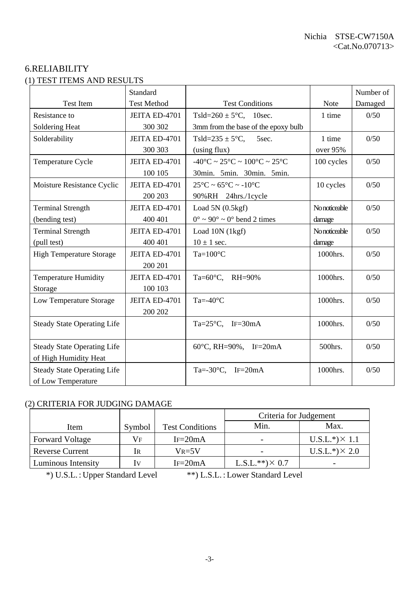#### 6.RELIABILITY (1) TEST ITEMS AND RESULTS

|                                    | Standard           |                                                                        |               | Number of |
|------------------------------------|--------------------|------------------------------------------------------------------------|---------------|-----------|
| <b>Test Item</b>                   | <b>Test Method</b> | <b>Test Conditions</b>                                                 | Note          | Damaged   |
| Resistance to                      | JEITA ED-4701      | Tsld= $260 \pm 5^{\circ}$ C, 10sec.                                    | 1 time        | 0/50      |
| Soldering Heat                     | 300 302            | 3mm from the base of the epoxy bulb                                    |               |           |
| Solderability                      | JEITA ED-4701      | Tsld= $235 \pm 5$ °C,<br>5sec.                                         | 1 time        | 0/50      |
|                                    | 300 303            | (using flux)                                                           | over 95%      |           |
| Temperature Cycle                  | JEITA ED-4701      | $-40^{\circ}$ C ~ 25 $^{\circ}$ C ~ 100 $^{\circ}$ C ~ 25 $^{\circ}$ C | 100 cycles    | 0/50      |
|                                    | 100 105            | 30min. 5min. 30min. 5min.                                              |               |           |
| Moisture Resistance Cyclic         | JEITA ED-4701      | $25^{\circ}$ C ~ 65 $^{\circ}$ C ~ -10 $^{\circ}$ C                    | 10 cycles     | 0/50      |
|                                    | 200 203            | 90%RH 24hrs./1cycle                                                    |               |           |
| <b>Terminal Strength</b>           | JEITA ED-4701      | Load $5N(0.5kgf)$                                                      | No noticeable | 0/50      |
| (bending test)                     | 400 401            | $0^{\circ} \sim 90^{\circ} \sim 0^{\circ}$ bend 2 times                | damage        |           |
| <b>Terminal Strength</b>           | JEITA ED-4701      | Load 10N (1kgf)                                                        | No noticeable | 0/50      |
| (pull test)                        | 400 401            | $10 \pm 1$ sec.                                                        | damage        |           |
| <b>High Temperature Storage</b>    | JEITA ED-4701      | $Ta=100^{\circ}C$                                                      | 1000hrs.      | 0/50      |
|                                    | 200 201            |                                                                        |               |           |
| <b>Temperature Humidity</b>        | JEITA ED-4701      | Ta= $60^{\circ}$ C, RH= $90\%$                                         | 1000hrs.      | 0/50      |
| Storage                            | 100 103            |                                                                        |               |           |
| Low Temperature Storage            | JEITA ED-4701      | Ta=- $40^{\circ}$ C                                                    | 1000hrs.      | 0/50      |
|                                    | 200 202            |                                                                        |               |           |
| <b>Steady State Operating Life</b> |                    | Ta= $25^{\circ}$ C, IF=30mA                                            | 1000hrs.      | 0/50      |
|                                    |                    |                                                                        |               |           |
| <b>Steady State Operating Life</b> |                    | 60°C, RH=90%, IF=20mA                                                  | 500hrs.       | 0/50      |
| of High Humidity Heat              |                    |                                                                        |               |           |
| <b>Steady State Operating Life</b> |                    | Ta=-30 $\textdegree$ C, IF=20mA                                        | 1000hrs.      | 0/50      |
| of Low Temperature                 |                    |                                                                        |               |           |

### (2) CRITERIA FOR JUDGING DAMAGE

| 2) CNHENIA FON JODOINO DAMAOE |        |                        |                        |                       |  |  |  |  |
|-------------------------------|--------|------------------------|------------------------|-----------------------|--|--|--|--|
|                               |        |                        | Criteria for Judgement |                       |  |  |  |  |
| Item                          | Symbol | <b>Test Conditions</b> | Min.                   | Max.                  |  |  |  |  |
| <b>Forward Voltage</b>        | Vf     | $IF = 20mA$            |                        | $U.S.L.*) \times 1.1$ |  |  |  |  |
| <b>Reverse Current</b>        | IR     | $V_{R=5}V$             |                        | $U.S.L.*) \times 2.0$ |  |  |  |  |
| <b>Luminous Intensity</b>     | Iv     | $IF = 20mA$            | $L.S.L.**) \times 0.7$ |                       |  |  |  |  |

\*) U.S.L. : Upper Standard Level \*\*) L.S.L. : Lower Standard Level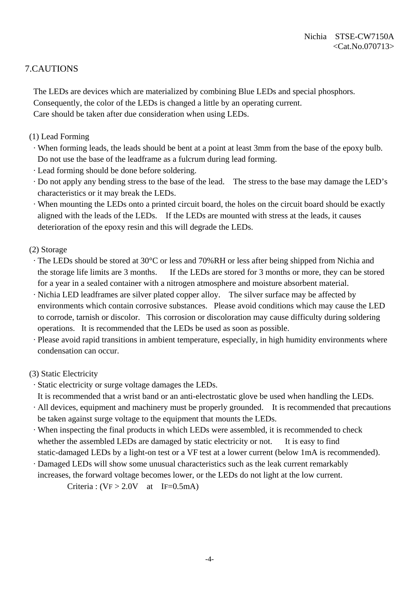#### 7.CAUTIONS

 The LEDs are devices which are materialized by combining Blue LEDs and special phosphors. Consequently, the color of the LEDs is changed a little by an operating current. Care should be taken after due consideration when using LEDs.

- (1) Lead Forming
	- · When forming leads, the leads should be bent at a point at least 3mm from the base of the epoxy bulb. Do not use the base of the leadframe as a fulcrum during lead forming.
	- · Lead forming should be done before soldering.
- · Do not apply any bending stress to the base of the lead. The stress to the base may damage the LED's characteristics or it may break the LEDs.
- · When mounting the LEDs onto a printed circuit board, the holes on the circuit board should be exactly aligned with the leads of the LEDs. If the LEDs are mounted with stress at the leads, it causes deterioration of the epoxy resin and this will degrade the LEDs.
- (2) Storage
	- · The LEDs should be stored at 30°C or less and 70%RH or less after being shipped from Nichia and the storage life limits are 3 months. If the LEDs are stored for 3 months or more, they can be stored for a year in a sealed container with a nitrogen atmosphere and moisture absorbent material.
- · Nichia LED leadframes are silver plated copper alloy. The silver surface may be affected by environments which contain corrosive substances. Please avoid conditions which may cause the LED to corrode, tarnish or discolor. This corrosion or discoloration may cause difficulty during soldering operations. It is recommended that the LEDs be used as soon as possible.
- · Please avoid rapid transitions in ambient temperature, especially, in high humidity environments where condensation can occur.

#### (3) Static Electricity

- · Static electricity or surge voltage damages the LEDs.
- It is recommended that a wrist band or an anti-electrostatic glove be used when handling the LEDs.
- · All devices, equipment and machinery must be properly grounded. It is recommended that precautions be taken against surge voltage to the equipment that mounts the LEDs.
- · When inspecting the final products in which LEDs were assembled, it is recommended to check whether the assembled LEDs are damaged by static electricity or not. It is easy to find static-damaged LEDs by a light-on test or a VF test at a lower current (below 1mA is recommended).
- · Damaged LEDs will show some unusual characteristics such as the leak current remarkably increases, the forward voltage becomes lower, or the LEDs do not light at the low current.

Criteria :  $(VF > 2.0V$  at IF=0.5mA)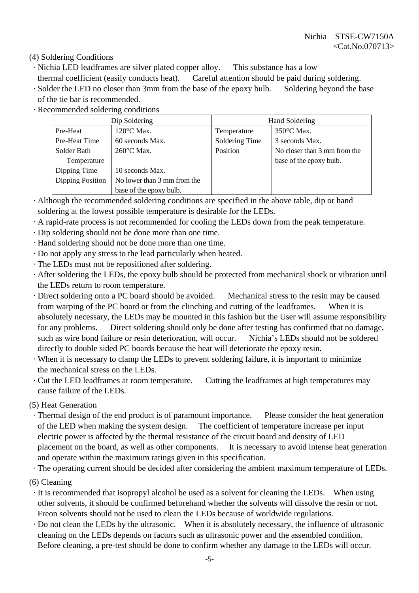(4) Soldering Conditions

- · Nichia LED leadframes are silver plated copper alloy. This substance has a low
- thermal coefficient (easily conducts heat). Careful attention should be paid during soldering.
- · Solder the LED no closer than 3mm from the base of the epoxy bulb. Soldering beyond the base of the tie bar is recommended.
- · Recommended soldering conditions

|                                                 | Dip Soldering           | <b>Hand Soldering</b> |                              |  |  |
|-------------------------------------------------|-------------------------|-----------------------|------------------------------|--|--|
| Pre-Heat                                        | $120^{\circ}$ C Max.    | Temperature           | $350^{\circ}$ C Max.         |  |  |
| Pre-Heat Time                                   | 60 seconds Max.         | Soldering Time        | 3 seconds Max.               |  |  |
| Solder Bath                                     | 260°C Max.              | Position              | No closer than 3 mm from the |  |  |
| Temperature                                     |                         |                       | base of the epoxy bulb.      |  |  |
| Dipping Time                                    | 10 seconds Max.         |                       |                              |  |  |
| Dipping Position<br>No lower than 3 mm from the |                         |                       |                              |  |  |
|                                                 | base of the epoxy bulb. |                       |                              |  |  |

- · Although the recommended soldering conditions are specified in the above table, dip or hand soldering at the lowest possible temperature is desirable for the LEDs.
- · A rapid-rate process is not recommended for cooling the LEDs down from the peak temperature.
- · Dip soldering should not be done more than one time.
- · Hand soldering should not be done more than one time.
- · Do not apply any stress to the lead particularly when heated.
- · The LEDs must not be repositioned after soldering.
- · After soldering the LEDs, the epoxy bulb should be protected from mechanical shock or vibration until the LEDs return to room temperature.
- · Direct soldering onto a PC board should be avoided. Mechanical stress to the resin may be caused from warping of the PC board or from the clinching and cutting of the leadframes. When it is absolutely necessary, the LEDs may be mounted in this fashion but the User will assume responsibility for any problems. Direct soldering should only be done after testing has confirmed that no damage, such as wire bond failure or resin deterioration, will occur. Nichia's LEDs should not be soldered directly to double sided PC boards because the heat will deteriorate the epoxy resin.
- · When it is necessary to clamp the LEDs to prevent soldering failure, it is important to minimize the mechanical stress on the LEDs.
- · Cut the LED leadframes at room temperature. Cutting the leadframes at high temperatures may cause failure of the LEDs.

(5) Heat Generation

 · Thermal design of the end product is of paramount importance. Please consider the heat generation of the LED when making the system design. The coefficient of temperature increase per input electric power is affected by the thermal resistance of the circuit board and density of LED placement on the board, as well as other components. It is necessary to avoid intense heat generation and operate within the maximum ratings given in this specification.

· The operating current should be decided after considering the ambient maximum temperature of LEDs.

- (6) Cleaning
	- · It is recommended that isopropyl alcohol be used as a solvent for cleaning the LEDs. When using other solvents, it should be confirmed beforehand whether the solvents will dissolve the resin or not. Freon solvents should not be used to clean the LEDs because of worldwide regulations.
- · Do not clean the LEDs by the ultrasonic. When it is absolutely necessary, the influence of ultrasonic cleaning on the LEDs depends on factors such as ultrasonic power and the assembled condition. Before cleaning, a pre-test should be done to confirm whether any damage to the LEDs will occur.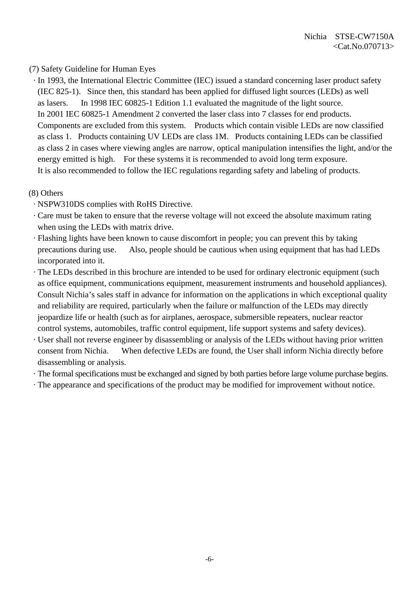#### (7) Safety Guideline for Human Eyes

 · In 1993, the International Electric Committee (IEC) issued a standard concerning laser product safety (IEC 825-1). Since then, this standard has been applied for diffused light sources (LEDs) as well as lasers. In 1998 IEC 60825-1 Edition 1.1 evaluated the magnitude of the light source. In 2001 IEC 60825-1 Amendment 2 converted the laser class into 7 classes for end products. Components are excluded from this system. Products which contain visible LEDs are now classified as class 1. Products containing UV LEDs are class 1M. Products containing LEDs can be classified as class 2 in cases where viewing angles are narrow, optical manipulation intensifies the light, and/or the energy emitted is high. For these systems it is recommended to avoid long term exposure. It is also recommended to follow the IEC regulations regarding safety and labeling of products.

#### (8) Others

- · NSPW310DS complies with RoHS Directive.
- · Care must be taken to ensure that the reverse voltage will not exceed the absolute maximum rating when using the LEDs with matrix drive.
- · Flashing lights have been known to cause discomfort in people; you can prevent this by taking precautions during use. Also, people should be cautious when using equipment that has had LEDs incorporated into it.
- · The LEDs described in this brochure are intended to be used for ordinary electronic equipment (such as office equipment, communications equipment, measurement instruments and household appliances). Consult Nichia's sales staff in advance for information on the applications in which exceptional quality and reliability are required, particularly when the failure or malfunction of the LEDs may directly jeopardize life or health (such as for airplanes, aerospace, submersible repeaters, nuclear reactor control systems, automobiles, traffic control equipment, life support systems and safety devices).
- · User shall not reverse engineer by disassembling or analysis of the LEDs without having prior written consent from Nichia. When defective LEDs are found, the User shall inform Nichia directly before disassembling or analysis.
- · The formal specifications must be exchanged and signed by both parties before large volume purchase begins.
- · The appearance and specifications of the product may be modified for improvement without notice.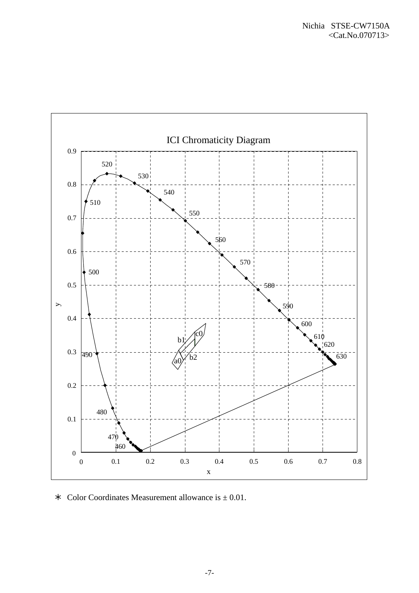

 $\ast$  Color Coordinates Measurement allowance is  $\pm$  0.01.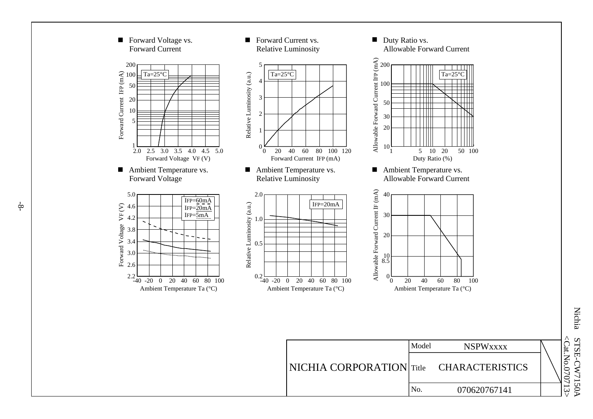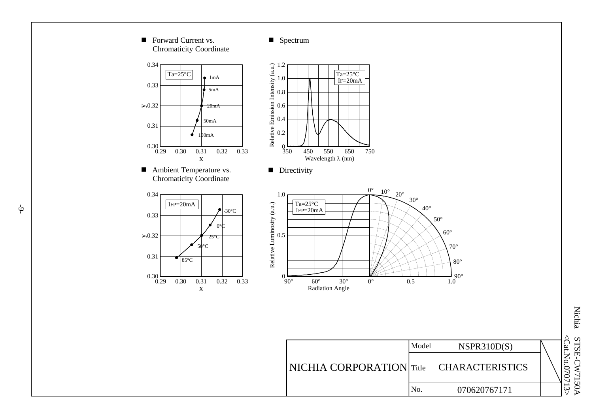

Nichia STSE-CW7150A STSE-CW7150A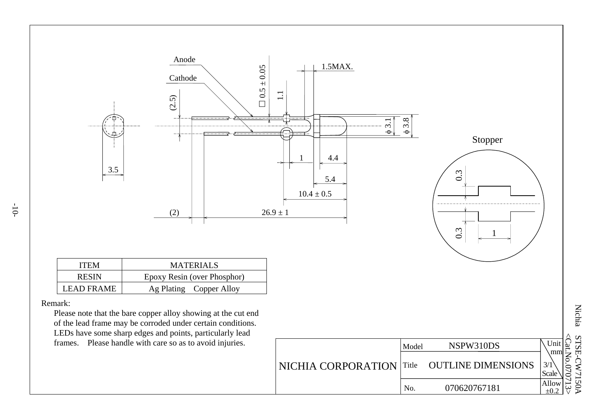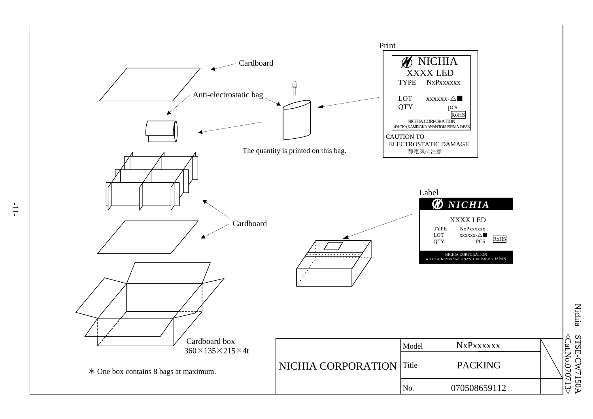

Nichia STSE-CW7150A <Cat.No.070713 STSE-CW7150A<br><Cat.No.070713>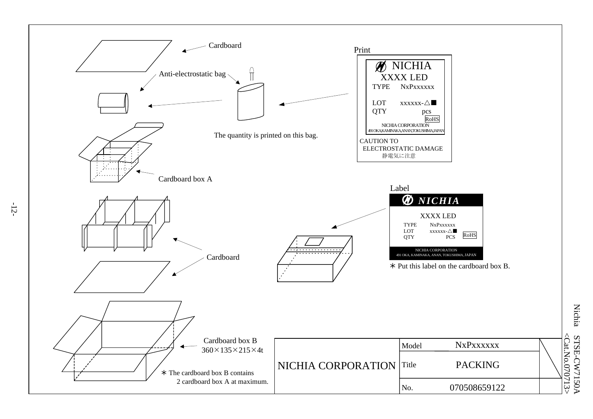

-12-

**Nichia** Nichia STSE-CW7150A  $\leq$ Cat.No.0 70713 >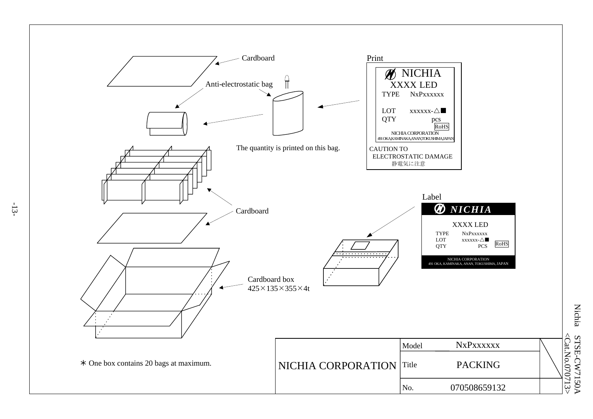